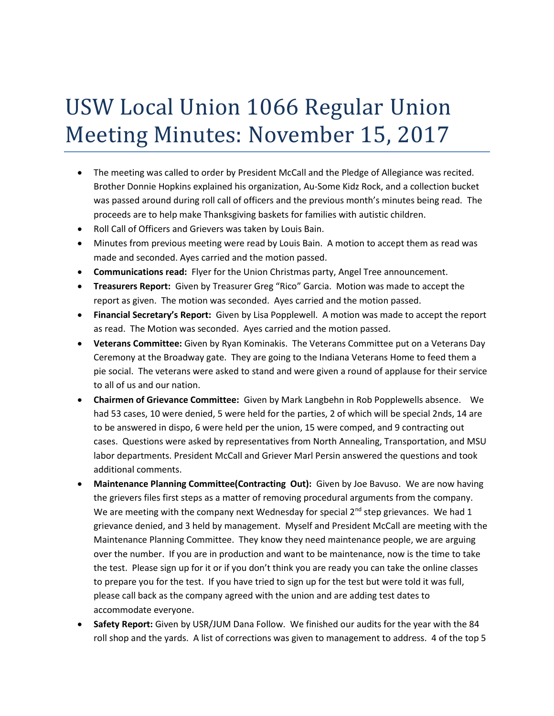## USW Local Union 1066 Regular Union Meeting Minutes: November 15, 2017

- The meeting was called to order by President McCall and the Pledge of Allegiance was recited. Brother Donnie Hopkins explained his organization, Au-Some Kidz Rock, and a collection bucket was passed around during roll call of officers and the previous month's minutes being read. The proceeds are to help make Thanksgiving baskets for families with autistic children.
- Roll Call of Officers and Grievers was taken by Louis Bain.
- Minutes from previous meeting were read by Louis Bain. A motion to accept them as read was made and seconded. Ayes carried and the motion passed.
- **Communications read:** Flyer for the Union Christmas party, Angel Tree announcement.
- **Treasurers Report:** Given by Treasurer Greg "Rico" Garcia. Motion was made to accept the report as given. The motion was seconded. Ayes carried and the motion passed.
- **Financial Secretary's Report:** Given by Lisa Popplewell. A motion was made to accept the report as read. The Motion was seconded. Ayes carried and the motion passed.
- **Veterans Committee:** Given by Ryan Kominakis. The Veterans Committee put on a Veterans Day Ceremony at the Broadway gate. They are going to the Indiana Veterans Home to feed them a pie social. The veterans were asked to stand and were given a round of applause for their service to all of us and our nation.
- **Chairmen of Grievance Committee:** Given by Mark Langbehn in Rob Popplewells absence. We had 53 cases, 10 were denied, 5 were held for the parties, 2 of which will be special 2nds, 14 are to be answered in dispo, 6 were held per the union, 15 were comped, and 9 contracting out cases. Questions were asked by representatives from North Annealing, Transportation, and MSU labor departments. President McCall and Griever Marl Persin answered the questions and took additional comments.
- **Maintenance Planning Committee(Contracting Out):** Given by Joe Bavuso. We are now having the grievers files first steps as a matter of removing procedural arguments from the company. We are meeting with the company next Wednesday for special  $2^{nd}$  step grievances. We had 1 grievance denied, and 3 held by management. Myself and President McCall are meeting with the Maintenance Planning Committee. They know they need maintenance people, we are arguing over the number. If you are in production and want to be maintenance, now is the time to take the test. Please sign up for it or if you don't think you are ready you can take the online classes to prepare you for the test. If you have tried to sign up for the test but were told it was full, please call back as the company agreed with the union and are adding test dates to accommodate everyone.
- **Safety Report:** Given by USR/JUM Dana Follow. We finished our audits for the year with the 84 roll shop and the yards. A list of corrections was given to management to address. 4 of the top 5